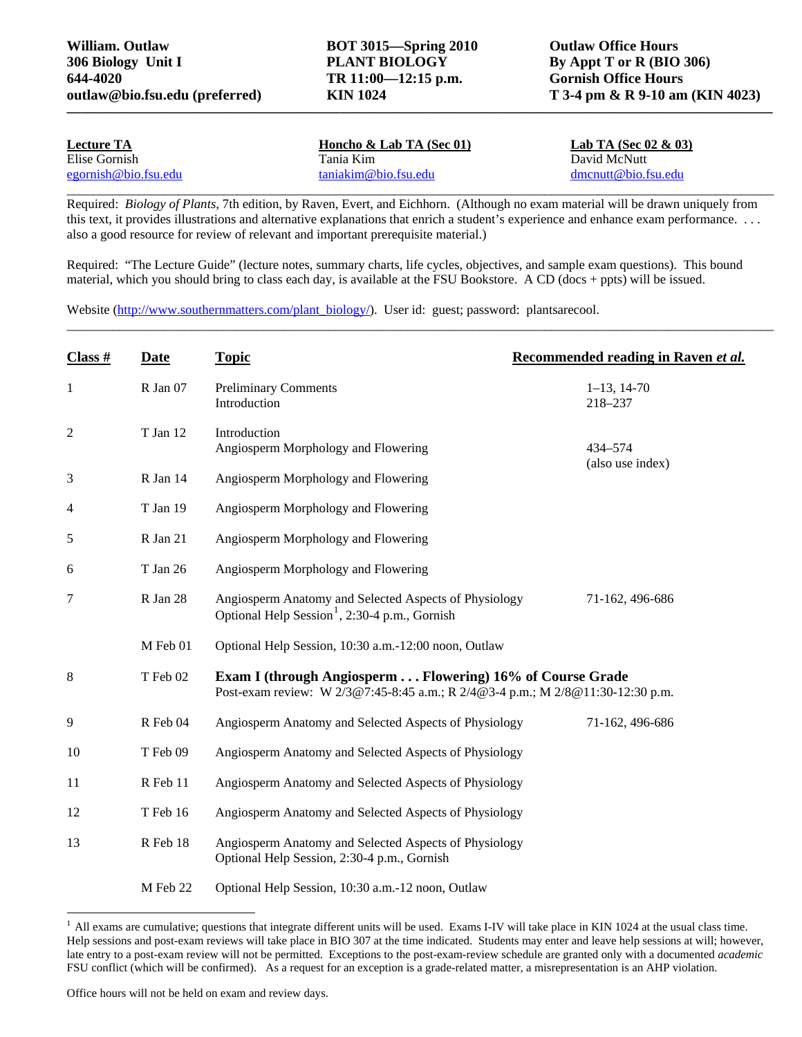**outlaw@bio.fsu.edu (preferred) KIN 1024 T 3-4 pm & R 9-10 am (KIN 4023)** 

| <b>Lecture TA</b>    | Honcho & Lab TA (Sec $01$ ) | Lab TA (Sec 02 $\&$ 03) |  |
|----------------------|-----------------------------|-------------------------|--|
| Elise Gornish        | Tania Kim                   | David McNutt            |  |
| egornish@bio.fsu.edu | $tani$ akim@bio.fsu.edu     | $d$ mcnutt@bio.fsu.edu  |  |
|                      |                             |                         |  |

Required: *Biology of Plants*, 7th edition, by Raven, Evert, and Eichhorn. (Although no exam material will be drawn uniquely from this text, it provides illustrations and alternative explanations that enrich a student's experience and enhance exam performance. . . . also a good resource for review of relevant and important prerequisite material.)

**—————————————————————————————————————————————————** 

Required: "The Lecture Guide" (lecture notes, summary charts, life cycles, objectives, and sample exam questions). This bound material, which you should bring to class each day, is available at the FSU Bookstore. A CD (docs + ppts) will be issued.

\_\_\_\_\_\_\_\_\_\_\_\_\_\_\_\_\_\_\_\_\_\_\_\_\_\_\_\_\_\_\_\_\_\_\_\_\_\_\_\_\_\_\_\_\_\_\_\_\_\_\_\_\_\_\_\_\_\_\_\_\_\_\_\_\_\_\_\_\_\_\_\_\_\_\_\_\_\_\_\_\_\_\_\_\_\_\_\_\_\_\_\_\_\_\_\_\_\_\_\_\_\_\_\_\_\_\_\_

Website ([http://www.southernmatters.com/plant\\_biology/](http://www.southernmatters.com/plant_biology/)). User id: guest; password: plantsarecool.

| Class #      | Date     | <b>Topic</b>                                                                                                                                 | Recommended reading in Raven et al. |  |
|--------------|----------|----------------------------------------------------------------------------------------------------------------------------------------------|-------------------------------------|--|
| $\mathbf{1}$ | R Jan 07 | <b>Preliminary Comments</b><br>Introduction                                                                                                  | $1-13$ , $14-70$<br>218-237         |  |
| 2            | T Jan 12 | Introduction<br>Angiosperm Morphology and Flowering                                                                                          | 434-574                             |  |
| 3            | R Jan 14 | Angiosperm Morphology and Flowering                                                                                                          | (also use index)                    |  |
| 4            | T Jan 19 | Angiosperm Morphology and Flowering                                                                                                          |                                     |  |
| 5            | R Jan 21 | Angiosperm Morphology and Flowering                                                                                                          |                                     |  |
| 6            | T Jan 26 | Angiosperm Morphology and Flowering                                                                                                          |                                     |  |
| 7            | R Jan 28 | Angiosperm Anatomy and Selected Aspects of Physiology<br>Optional Help Session <sup>1</sup> , 2:30-4 p.m., Gornish                           | 71-162, 496-686                     |  |
|              | M Feb 01 | Optional Help Session, 10:30 a.m.-12:00 noon, Outlaw                                                                                         |                                     |  |
| 8            | T Feb 02 | Exam I (through Angiosperm  Flowering) 16% of Course Grade<br>Post-exam review: W 2/3@7:45-8:45 a.m.; R 2/4@3-4 p.m.; M 2/8@11:30-12:30 p.m. |                                     |  |
| 9            | R Feb 04 | Angiosperm Anatomy and Selected Aspects of Physiology                                                                                        | 71-162, 496-686                     |  |
| 10           | T Feb 09 | Angiosperm Anatomy and Selected Aspects of Physiology                                                                                        |                                     |  |
| 11           | R Feb 11 | Angiosperm Anatomy and Selected Aspects of Physiology                                                                                        |                                     |  |
| 12           | T Feb 16 | Angiosperm Anatomy and Selected Aspects of Physiology                                                                                        |                                     |  |
| 13           | R Feb 18 | Angiosperm Anatomy and Selected Aspects of Physiology<br>Optional Help Session, 2:30-4 p.m., Gornish                                         |                                     |  |
|              | M Feb 22 | Optional Help Session, 10:30 a.m.-12 noon, Outlaw                                                                                            |                                     |  |

<span id="page-0-0"></span> $<sup>1</sup>$  All exams are cumulative; questions that integrate different units will be used. Exams I-IV will take place in KIN 1024 at the usual class time.</sup> Help sessions and post-exam reviews will take place in BIO 307 at the time indicated. Students may enter and leave help sessions at will; however, late entry to a post-exam review will not be permitted. Exceptions to the post-exam-review schedule are granted only with a documented *academic* FSU conflict (which will be confirmed). As a request for an exception is a grade-related matter, a misrepresentation is an AHP violation.

Office hours will not be held on exam and review days.

 $\overline{a}$